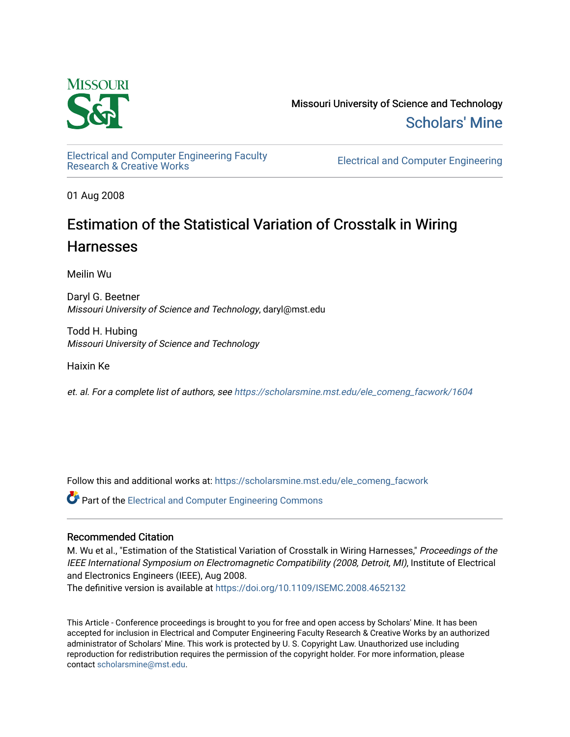

Missouri University of Science and Technology [Scholars' Mine](https://scholarsmine.mst.edu/) 

[Electrical and Computer Engineering Faculty](https://scholarsmine.mst.edu/ele_comeng_facwork)

**Electrical and Computer Engineering** 

01 Aug 2008

## Estimation of the Statistical Variation of Crosstalk in Wiring **Harnesses**

Meilin Wu

Daryl G. Beetner Missouri University of Science and Technology, daryl@mst.edu

Todd H. Hubing Missouri University of Science and Technology

Haixin Ke

et. al. For a complete list of authors, see [https://scholarsmine.mst.edu/ele\\_comeng\\_facwork/1604](https://scholarsmine.mst.edu/ele_comeng_facwork/1604) 

Follow this and additional works at: [https://scholarsmine.mst.edu/ele\\_comeng\\_facwork](https://scholarsmine.mst.edu/ele_comeng_facwork?utm_source=scholarsmine.mst.edu%2Fele_comeng_facwork%2F1604&utm_medium=PDF&utm_campaign=PDFCoverPages)

**C** Part of the Electrical and Computer Engineering Commons

### Recommended Citation

M. Wu et al., "Estimation of the Statistical Variation of Crosstalk in Wiring Harnesses," Proceedings of the IEEE International Symposium on Electromagnetic Compatibility (2008, Detroit, MI), Institute of Electrical and Electronics Engineers (IEEE), Aug 2008.

The definitive version is available at <https://doi.org/10.1109/ISEMC.2008.4652132>

This Article - Conference proceedings is brought to you for free and open access by Scholars' Mine. It has been accepted for inclusion in Electrical and Computer Engineering Faculty Research & Creative Works by an authorized administrator of Scholars' Mine. This work is protected by U. S. Copyright Law. Unauthorized use including reproduction for redistribution requires the permission of the copyright holder. For more information, please contact [scholarsmine@mst.edu](mailto:scholarsmine@mst.edu).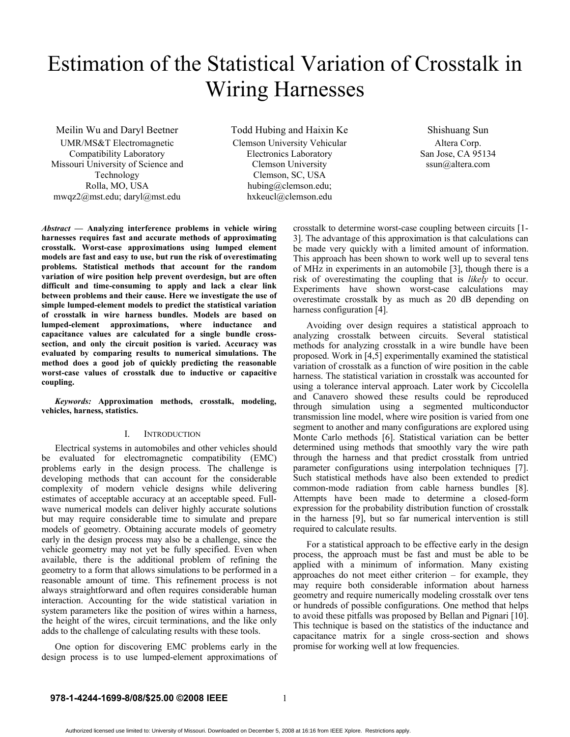# Estimation of the Statistical Variation of Crosstalk in Wiring Harnesses

Meilin Wu and Daryl Beetner UMR/MS&T Electromagnetic Compatibility Laboratory Missouri University of Science and Technology Rolla, MO, USA mwqz2@mst.edu; daryl@mst.edu

Todd Hubing and Haixin Ke Clemson University Vehicular Electronics Laboratory Clemson University Clemson, SC, USA hubing@clemson.edu; hxkeucl@clemson.edu

Shishuang Sun Altera Corp. San Jose, CA 95134 ssun@altera.com

*Abstract* **— Analyzing interference problems in vehicle wiring harnesses requires fast and accurate methods of approximating crosstalk. Worst-case approximations using lumped element models are fast and easy to use, but run the risk of overestimating problems. Statistical methods that account for the random variation of wire position help prevent overdesign, but are often difficult and time-consuming to apply and lack a clear link between problems and their cause. Here we investigate the use of simple lumped-element models to predict the statistical variation of crosstalk in wire harness bundles. Models are based on lumped-element approximations, where inductance and capacitance values are calculated for a single bundle crosssection, and only the circuit position is varied. Accuracy was evaluated by comparing results to numerical simulations. The method does a good job of quickly predicting the reasonable worst-case values of crosstalk due to inductive or capacitive coupling.** 

*Keywords:* **Approximation methods, crosstalk, modeling, vehicles, harness, statistics.**

#### I. INTRODUCTION

Electrical systems in automobiles and other vehicles should be evaluated for electromagnetic compatibility (EMC) problems early in the design process. The challenge is developing methods that can account for the considerable complexity of modern vehicle designs while delivering estimates of acceptable accuracy at an acceptable speed. Fullwave numerical models can deliver highly accurate solutions but may require considerable time to simulate and prepare models of geometry. Obtaining accurate models of geometry early in the design process may also be a challenge, since the vehicle geometry may not yet be fully specified. Even when available, there is the additional problem of refining the geometry to a form that allows simulations to be performed in a reasonable amount of time. This refinement process is not always straightforward and often requires considerable human interaction. Accounting for the wide statistical variation in system parameters like the position of wires within a harness, the height of the wires, circuit terminations, and the like only adds to the challenge of calculating results with these tools.

One option for discovering EMC problems early in the design process is to use lumped-element approximations of crosstalk to determine worst-case coupling between circuits [1- 3]. The advantage of this approximation is that calculations can be made very quickly with a limited amount of information. This approach has been shown to work well up to several tens of MHz in experiments in an automobile [3], though there is a risk of overestimating the coupling that is *likely* to occur. Experiments have shown worst-case calculations may overestimate crosstalk by as much as 20 dB depending on harness configuration [4].

Avoiding over design requires a statistical approach to analyzing crosstalk between circuits. Several statistical methods for analyzing crosstalk in a wire bundle have been proposed. Work in [4,5] experimentally examined the statistical variation of crosstalk as a function of wire position in the cable harness. The statistical variation in crosstalk was accounted for using a tolerance interval approach. Later work by Ciccolella and Canavero showed these results could be reproduced through simulation using a segmented multiconductor transmission line model, where wire position is varied from one segment to another and many configurations are explored using Monte Carlo methods [6]. Statistical variation can be better determined using methods that smoothly vary the wire path through the harness and that predict crosstalk from untried parameter configurations using interpolation techniques [7]. Such statistical methods have also been extended to predict common-mode radiation from cable harness bundles [8]. Attempts have been made to determine a closed-form expression for the probability distribution function of crosstalk in the harness [9], but so far numerical intervention is still required to calculate results.

For a statistical approach to be effective early in the design process, the approach must be fast and must be able to be applied with a minimum of information. Many existing approaches do not meet either criterion – for example, they may require both considerable information about harness geometry and require numerically modeling crosstalk over tens or hundreds of possible configurations. One method that helps to avoid these pitfalls was proposed by Bellan and Pignari [10]. This technique is based on the statistics of the inductance and capacitance matrix for a single cross-section and shows promise for working well at low frequencies.

#### **978-1-4244-1699-8/08/\$25.00 ©2008 IEEE**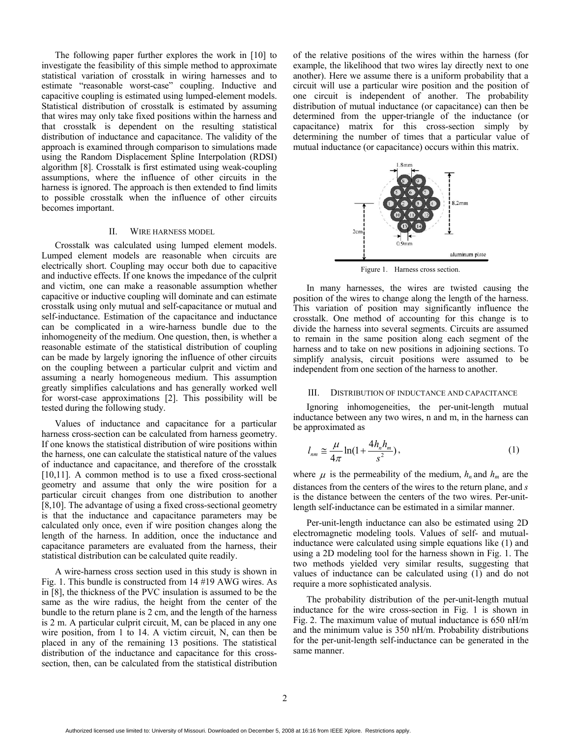The following paper further explores the work in [10] to investigate the feasibility of this simple method to approximate statistical variation of crosstalk in wiring harnesses and to estimate "reasonable worst-case" coupling. Inductive and capacitive coupling is estimated using lumped-element models. Statistical distribution of crosstalk is estimated by assuming that wires may only take fixed positions within the harness and that crosstalk is dependent on the resulting statistical distribution of inductance and capacitance. The validity of the approach is examined through comparison to simulations made using the Random Displacement Spline Interpolation (RDSI) algorithm [8]. Crosstalk is first estimated using weak-coupling assumptions, where the influence of other circuits in the harness is ignored. The approach is then extended to find limits to possible crosstalk when the influence of other circuits becomes important.

#### II. WIRE HARNESS MODEL

Crosstalk was calculated using lumped element models. Lumped element models are reasonable when circuits are electrically short. Coupling may occur both due to capacitive and inductive effects. If one knows the impedance of the culprit and victim, one can make a reasonable assumption whether capacitive or inductive coupling will dominate and can estimate crosstalk using only mutual and self-capacitance or mutual and self-inductance. Estimation of the capacitance and inductance can be complicated in a wire-harness bundle due to the inhomogeneity of the medium. One question, then, is whether a reasonable estimate of the statistical distribution of coupling can be made by largely ignoring the influence of other circuits on the coupling between a particular culprit and victim and assuming a nearly homogeneous medium. This assumption greatly simplifies calculations and has generally worked well for worst-case approximations [2]. This possibility will be tested during the following study.

Values of inductance and capacitance for a particular harness cross-section can be calculated from harness geometry. If one knows the statistical distribution of wire positions within the harness, one can calculate the statistical nature of the values of inductance and capacitance, and therefore of the crosstalk [10,11]. A common method is to use a fixed cross-sectional geometry and assume that only the wire position for a particular circuit changes from one distribution to another [8,10]. The advantage of using a fixed cross-sectional geometry is that the inductance and capacitance parameters may be calculated only once, even if wire position changes along the length of the harness. In addition, once the inductance and capacitance parameters are evaluated from the harness, their statistical distribution can be calculated quite readily.

A wire-harness cross section used in this study is shown in Fig. 1. This bundle is constructed from 14 #19 AWG wires. As in [8], the thickness of the PVC insulation is assumed to be the same as the wire radius, the height from the center of the bundle to the return plane is 2 cm, and the length of the harness is 2 m. A particular culprit circuit, M, can be placed in any one wire position, from 1 to 14. A victim circuit, N, can then be placed in any of the remaining 13 positions. The statistical distribution of the inductance and capacitance for this crosssection, then, can be calculated from the statistical distribution

of the relative positions of the wires within the harness (for example, the likelihood that two wires lay directly next to one another). Here we assume there is a uniform probability that a circuit will use a particular wire position and the position of one circuit is independent of another. The probability distribution of mutual inductance (or capacitance) can then be determined from the upper-triangle of the inductance (or capacitance) matrix for this cross-section simply by determining the number of times that a particular value of mutual inductance (or capacitance) occurs within this matrix.



Figure 1. Harness cross section.

In many harnesses, the wires are twisted causing the position of the wires to change along the length of the harness. This variation of position may significantly influence the crosstalk. One method of accounting for this change is to divide the harness into several segments. Circuits are assumed to remain in the same position along each segment of the harness and to take on new positions in adjoining sections. To simplify analysis, circuit positions were assumed to be independent from one section of the harness to another.

#### III. DISTRIBUTION OF INDUCTANCE AND CAPACITANCE

Ignoring inhomogeneities, the per-unit-length mutual inductance between any two wires, n and m, in the harness can be approximated as

$$
l_{nm} \cong \frac{\mu}{4\pi} \ln(1 + \frac{4h_n h_m}{s^2}),\tag{1}
$$

where  $\mu$  is the permeability of the medium,  $h_n$  and  $h_m$  are the distances from the centers of the wires to the return plane, and *s*  is the distance between the centers of the two wires. Per-unitlength self-inductance can be estimated in a similar manner.

Per-unit-length inductance can also be estimated using 2D electromagnetic modeling tools. Values of self- and mutualinductance were calculated using simple equations like (1) and using a 2D modeling tool for the harness shown in Fig. 1. The two methods yielded very similar results, suggesting that values of inductance can be calculated using (1) and do not require a more sophisticated analysis.

The probability distribution of the per-unit-length mutual inductance for the wire cross-section in Fig. 1 is shown in Fig. 2. The maximum value of mutual inductance is 650 nH/m and the minimum value is 350 nH/m. Probability distributions for the per-unit-length self-inductance can be generated in the same manner.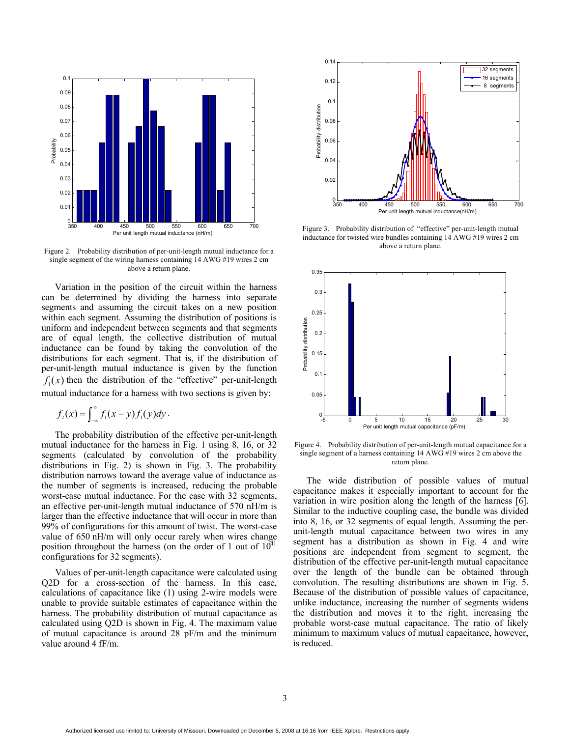

Figure 2. Probability distribution of per-unit-length mutual inductance for a single segment of the wiring harness containing 14 AWG #19 wires 2 cm above a return plane.

Variation in the position of the circuit within the harness can be determined by dividing the harness into separate segments and assuming the circuit takes on a new position within each segment. Assuming the distribution of positions is uniform and independent between segments and that segments are of equal length, the collective distribution of mutual inductance can be found by taking the convolution of the distributions for each segment. That is, if the distribution of per-unit-length mutual inductance is given by the function  $f_1(x)$  then the distribution of the "effective" per-unit-length mutual inductance for a harness with two sections is given by:

$$
f_2(x) = \int_{-\infty}^{\infty} f_1(x-y) f_1(y) dy.
$$

The probability distribution of the effective per-unit-length mutual inductance for the harness in Fig. 1 using 8, 16, or 32 segments (calculated by convolution of the probability distributions in Fig. 2) is shown in Fig. 3. The probability distribution narrows toward the average value of inductance as the number of segments is increased, reducing the probable worst-case mutual inductance. For the case with 32 segments, an effective per-unit-length mutual inductance of 570 nH/m is larger than the effective inductance that will occur in more than 99% of configurations for this amount of twist. The worst-case value of 650 nH/m will only occur rarely when wires change position throughout the harness (on the order of 1 out of  $10^{41}$ configurations for 32 segments).

Values of per-unit-length capacitance were calculated using Q2D for a cross-section of the harness. In this case, calculations of capacitance like (1) using 2-wire models were unable to provide suitable estimates of capacitance within the harness. The probability distribution of mutual capacitance as calculated using Q2D is shown in Fig. 4. The maximum value of mutual capacitance is around 28 pF/m and the minimum value around 4 fF/m.



Figure 3. Probability distribution of "effective" per-unit-length mutual inductance for twisted wire bundles containing 14 AWG #19 wires 2 cm above a return plane.



Figure 4. Probability distribution of per-unit-length mutual capacitance for a single segment of a harness containing 14 AWG #19 wires 2 cm above the return plane.

The wide distribution of possible values of mutual capacitance makes it especially important to account for the variation in wire position along the length of the harness [6]. Similar to the inductive coupling case, the bundle was divided into 8, 16, or 32 segments of equal length. Assuming the perunit-length mutual capacitance between two wires in any segment has a distribution as shown in Fig. 4 and wire positions are independent from segment to segment, the distribution of the effective per-unit-length mutual capacitance over the length of the bundle can be obtained through convolution. The resulting distributions are shown in Fig. 5. Because of the distribution of possible values of capacitance, unlike inductance, increasing the number of segments widens the distribution and moves it to the right, increasing the probable worst-case mutual capacitance. The ratio of likely minimum to maximum values of mutual capacitance, however, is reduced.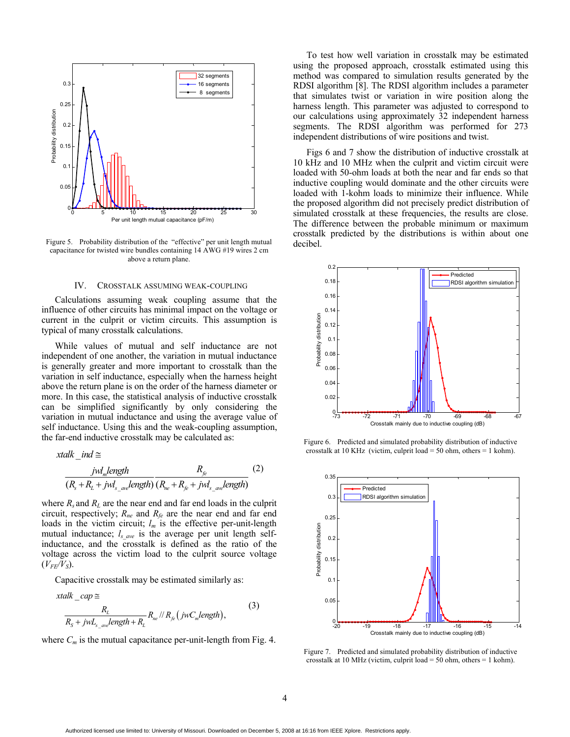

Figure 5. Probability distribution of the "effective" per unit length mutual capacitance for twisted wire bundles containing 14 AWG #19 wires 2 cm above a return plane.

#### IV. CROSSTALK ASSUMING WEAK-COUPLING

Calculations assuming weak coupling assume that the influence of other circuits has minimal impact on the voltage or current in the culprit or victim circuits. This assumption is typical of many crosstalk calculations.

While values of mutual and self inductance are not independent of one another, the variation in mutual inductance is generally greater and more important to crosstalk than the variation in self inductance, especially when the harness height above the return plane is on the order of the harness diameter or more. In this case, the statistical analysis of inductive crosstalk can be simplified significantly by only considering the variation in mutual inductance and using the average value of self inductance. Using this and the weak-coupling assumption, the far-end inductive crosstalk may be calculated as:

$$
xtalk\_ind \cong
$$
  
\n
$$
\frac{jwl_m length}{(R_s + R_L + jwl_{s\_av} length)} \frac{R_{fe}}{(R_{ne} + R_{fe} + jwl_{s\_av} length)}
$$
 (2)

where  $R_s$  and  $R_l$  are the near end and far end loads in the culprit circuit, respectively; *Rne* and *Rfe* are the near end and far end loads in the victim circuit;  $l_m$  is the effective per-unit-length mutual inductance;  $l_{s\,ave}$  is the average per unit length selfinductance, and the crosstalk is defined as the ratio of the voltage across the victim load to the culprit source voltage  $(V_{FF}/V_S)$ .

Capacitive crosstalk may be estimated similarly as:

$$
xtalk\_cap \cong
$$
  
\n
$$
\frac{R_L}{R_S + jwL_{s\_ave} length + R_L} R_{ne} / R_{fe} (jwC_m length),
$$
\n(3)

where  $C_m$  is the mutual capacitance per-unit-length from Fig. 4.

To test how well variation in crosstalk may be estimated using the proposed approach, crosstalk estimated using this method was compared to simulation results generated by the RDSI algorithm [8]. The RDSI algorithm includes a parameter that simulates twist or variation in wire position along the harness length. This parameter was adjusted to correspond to our calculations using approximately 32 independent harness segments. The RDSI algorithm was performed for 273 independent distributions of wire positions and twist.

Figs 6 and 7 show the distribution of inductive crosstalk at 10 kHz and 10 MHz when the culprit and victim circuit were loaded with 50-ohm loads at both the near and far ends so that inductive coupling would dominate and the other circuits were loaded with 1-kohm loads to minimize their influence. While the proposed algorithm did not precisely predict distribution of simulated crosstalk at these frequencies, the results are close. The difference between the probable minimum or maximum crosstalk predicted by the distributions is within about one decibel.



Figure 6. Predicted and simulated probability distribution of inductive crosstalk at 10 KHz (victim, culprit load = 50 ohm, others = 1 kohm).



Figure 7. Predicted and simulated probability distribution of inductive crosstalk at 10 MHz (victim, culprit load = 50 ohm, others = 1 kohm).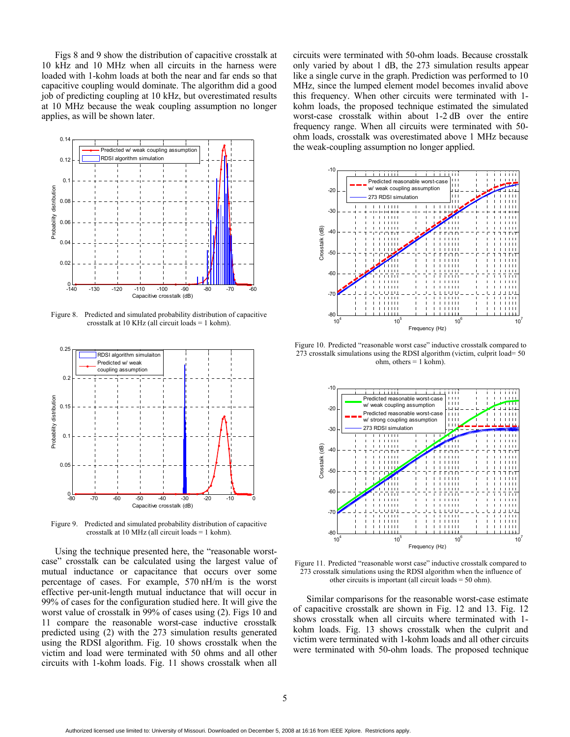Figs 8 and 9 show the distribution of capacitive crosstalk at 10 kHz and 10 MHz when all circuits in the harness were loaded with 1-kohm loads at both the near and far ends so that capacitive coupling would dominate. The algorithm did a good job of predicting coupling at 10 kHz, but overestimated results at 10 MHz because the weak coupling assumption no longer applies, as will be shown later.



Figure 8. Predicted and simulated probability distribution of capacitive crosstalk at 10 KHz (all circuit loads = 1 kohm).



Figure 9. Predicted and simulated probability distribution of capacitive crosstalk at 10 MHz (all circuit loads = 1 kohm).

Using the technique presented here, the "reasonable worstcase" crosstalk can be calculated using the largest value of mutual inductance or capacitance that occurs over some percentage of cases. For example, 570 nH/m is the worst effective per-unit-length mutual inductance that will occur in 99% of cases for the configuration studied here. It will give the worst value of crosstalk in 99% of cases using (2). Figs 10 and 11 compare the reasonable worst-case inductive crosstalk predicted using (2) with the 273 simulation results generated using the RDSI algorithm. Fig. 10 shows crosstalk when the victim and load were terminated with 50 ohms and all other circuits with 1-kohm loads. Fig. 11 shows crosstalk when all

circuits were terminated with 50-ohm loads. Because crosstalk only varied by about 1 dB, the 273 simulation results appear like a single curve in the graph. Prediction was performed to 10 MHz, since the lumped element model becomes invalid above this frequency. When other circuits were terminated with 1 kohm loads, the proposed technique estimated the simulated worst-case crosstalk within about 1-2 dB over the entire frequency range. When all circuits were terminated with 50 ohm loads, crosstalk was overestimated above 1 MHz because the weak-coupling assumption no longer applied.



Figure 10. Predicted "reasonable worst case" inductive crosstalk compared to 273 crosstalk simulations using the RDSI algorithm (victim, culprit load= 50  $ohm$ , others = 1 kohm).



Figure 11. Predicted "reasonable worst case" inductive crosstalk compared to 273 crosstalk simulations using the RDSI algorithm when the influence of other circuits is important (all circuit loads = 50 ohm).

Similar comparisons for the reasonable worst-case estimate of capacitive crosstalk are shown in Fig. 12 and 13. Fig. 12 shows crosstalk when all circuits where terminated with 1 kohm loads. Fig. 13 shows crosstalk when the culprit and victim were terminated with 1-kohm loads and all other circuits were terminated with 50-ohm loads. The proposed technique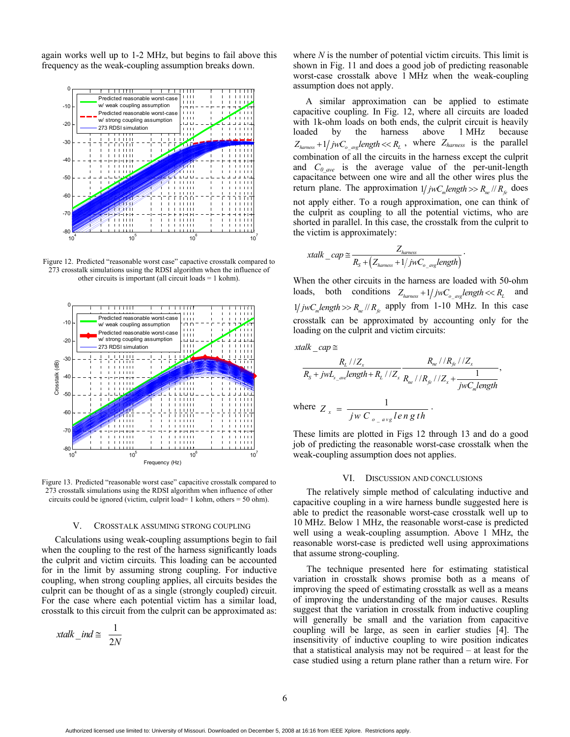again works well up to 1-2 MHz, but begins to fail above this frequency as the weak-coupling assumption breaks down.



Figure 12. Predicted "reasonable worst case" capactive crosstalk compared to 273 crosstalk simulations using the RDSI algorithm when the influence of other circuits is important (all circuit loads = 1 kohm).



Figure 13. Predicted "reasonable worst case" capacitive crosstalk compared to 273 crosstalk simulations using the RDSI algorithm when influence of other circuits could be ignored (victim, culprit load= 1 kohm, others = 50 ohm).

#### V. CROSSTALK ASSUMING STRONG COUPLING

Calculations using weak-coupling assumptions begin to fail when the coupling to the rest of the harness significantly loads the culprit and victim circuits. This loading can be accounted for in the limit by assuming strong coupling. For inductive coupling, when strong coupling applies, all circuits besides the culprit can be thought of as a single (strongly coupled) circuit. For the case where each potential victim has a similar load, crosstalk to this circuit from the culprit can be approximated as:

$$
xtalk\_ind \cong \frac{1}{2N}
$$

where *N* is the number of potential victim circuits. This limit is shown in Fig. 11 and does a good job of predicting reasonable worst-case crosstalk above 1 MHz when the weak-coupling assumption does not apply.

A similar approximation can be applied to estimate capacitive coupling. In Fig. 12, where all circuits are loaded with 1k-ohm loads on both ends, the culprit circuit is heavily loaded by the harness above 1 MHz because  $Z_{harness} + 1 / jwC_{o\_avg} length \ll R_L$ , where  $Z_{harness}$  is the parallel combination of all the circuits in the harness except the culprit and *C0\_ave* is the average value of the per-unit-length capacitance between one wire and all the other wires plus the return plane. The approximation  $1/jwC_m length \gg R_m / R_{fe}$  does not apply either. To a rough approximation, one can think of the culprit as coupling to all the potential victims, who are shorted in parallel. In this case, the crosstalk from the culprit to the victim is approximately:

$$
xtalk\_cap \cong \frac{Z_{hames}}{R_{S} + (Z_{hames} + 1/jwC_{o\_avg}length)}.
$$

When the other circuits in the harness are loaded with 50-ohm loads, both conditions  $Z_{harmess} + 1 / jwC_{o,ave} length \ll R_L$  and  $1 / jwC<sub>m</sub> length \gg R<sub>ne</sub> / / R<sub>fe</sub>$  apply from 1-10 MHz. In this case crosstalk can be approximated by accounting only for the loading on the culprit and victim circuits:

$$
xtalk\_cap \cong
$$

$$
\frac{R_L l/Z_x}{R_S + jwL_{s\_ave} length + R_L l/Z_x} \frac{R_{ne} l/R_{fe} l/Z_x}{R_{ne} l/R_{fe} l/Z_x + \frac{1}{jwC_m length}},
$$

where 
$$
Z_x = \frac{1}{jw C_{o_avg} length}
$$
.

These limits are plotted in Figs 12 through 13 and do a good job of predicting the reasonable worst-case crosstalk when the weak-coupling assumption does not applies.

#### VI. DISCUSSION AND CONCLUSIONS

The relatively simple method of calculating inductive and capacitive coupling in a wire harness bundle suggested here is able to predict the reasonable worst-case crosstalk well up to 10 MHz. Below 1 MHz, the reasonable worst-case is predicted well using a weak-coupling assumption. Above 1 MHz, the reasonable worst-case is predicted well using approximations that assume strong-coupling.

The technique presented here for estimating statistical variation in crosstalk shows promise both as a means of improving the speed of estimating crosstalk as well as a means of improving the understanding of the major causes. Results suggest that the variation in crosstalk from inductive coupling will generally be small and the variation from capacitive coupling will be large, as seen in earlier studies [4]. The insensitivity of inductive coupling to wire position indicates that a statistical analysis may not be required – at least for the case studied using a return plane rather than a return wire. For